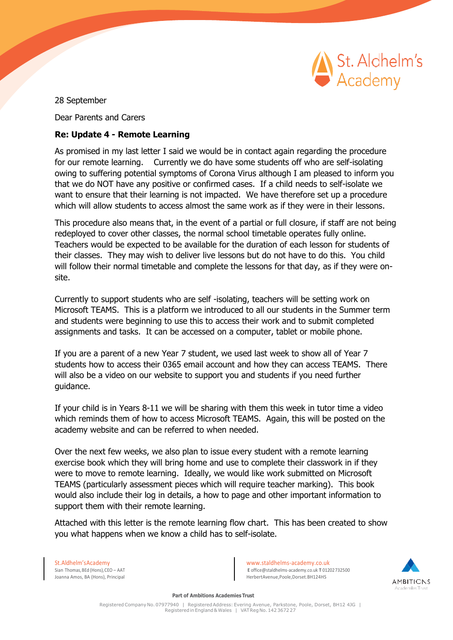

28 September

Dear Parents and Carers

## **Re: Update 4 - Remote Learning**

As promised in my last letter I said we would be in contact again regarding the procedure for our remote learning. Currently we do have some students off who are self-isolating owing to suffering potential symptoms of Corona Virus although I am pleased to inform you that we do NOT have any positive or confirmed cases. If a child needs to self-isolate we want to ensure that their learning is not impacted. We have therefore set up a procedure which will allow students to access almost the same work as if they were in their lessons.

This procedure also means that, in the event of a partial or full closure, if staff are not being redeployed to cover other classes, the normal school timetable operates fully online. Teachers would be expected to be available for the duration of each lesson for students of their classes. They may wish to deliver live lessons but do not have to do this. You child will follow their normal timetable and complete the lessons for that day, as if they were onsite.

Currently to support students who are self -isolating, teachers will be setting work on Microsoft TEAMS. This is a platform we introduced to all our students in the Summer term and students were beginning to use this to access their work and to submit completed assignments and tasks. It can be accessed on a computer, tablet or mobile phone.

If you are a parent of a new Year 7 student, we used last week to show all of Year 7 students how to access their 0365 email account and how they can access TEAMS. There will also be a video on our website to support you and students if you need further guidance.

If your child is in Years 8-11 we will be sharing with them this week in tutor time a video which reminds them of how to access Microsoft TEAMS. Again, this will be posted on the academy website and can be referred to when needed.

Over the next few weeks, we also plan to issue every student with a remote learning exercise book which they will bring home and use to complete their classwork in if they were to move to remote learning. Ideally, we would like work submitted on Microsoft TEAMS (particularly assessment pieces which will require teacher marking). This book would also include their log in details, a how to page and other important information to support them with their remote learning.

Attached with this letter is the remote learning flow chart. This has been created to show you what happens when we know a child has to self-isolate.

Joanna Amos, BA (Hons), Principal

St.Aldhelm'sAcademy<br>Sian Thomas.BEd (Hons).CEO – AAT Sian Thomas.BEd (Hons).CEO – AAT Sian Thomas.BEd (Hons).CEO – AAT E [office@staldhelms-academy.co.uk](mailto:office@staldhelms-academy.co.uk) **T** 01202732500<br>Herbert Avenue.Poole.Dorset.BH124HS



**Part of Ambitions Academies Trust**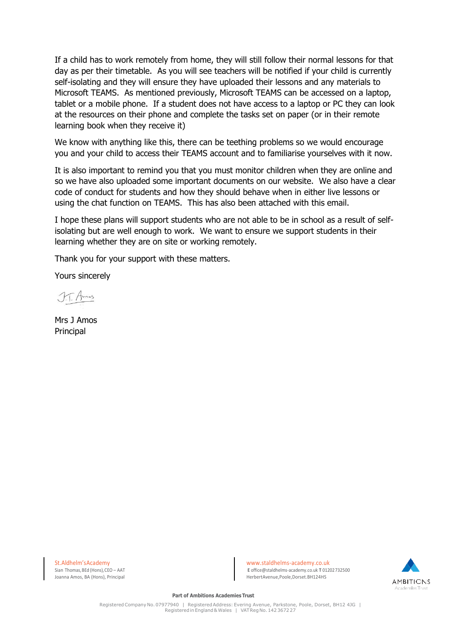If a child has to work remotely from home, they will still follow their normal lessons for that day as per their timetable. As you will see teachers will be notified if your child is currently self-isolating and they will ensure they have uploaded their lessons and any materials to Microsoft TEAMS. As mentioned previously, Microsoft TEAMS can be accessed on a laptop, tablet or a mobile phone. If a student does not have access to a laptop or PC they can look at the resources on their phone and complete the tasks set on paper (or in their remote learning book when they receive it)

We know with anything like this, there can be teething problems so we would encourage you and your child to access their TEAMS account and to familiarise yourselves with it now.

It is also important to remind you that you must monitor children when they are online and so we have also uploaded some important documents on our website. We also have a clear code of conduct for students and how they should behave when in either live lessons or using the chat function on TEAMS. This has also been attached with this email.

I hope these plans will support students who are not able to be in school as a result of selfisolating but are well enough to work. We want to ensure we support students in their learning whether they are on site or working remotely.

Thank you for your support with these matters.

Yours sincerely

Mrs J Amos Principal

Joanna Amos, BA (Hons), Principal

St.Aldhelm'sAcademy<br>Sian Thomas.BEd (Hons).CEO – AAT Sian Thomas.BEd (Hons).CEO – AAT Sian Thomas.BEd (Hons).CEO – AAT E [office@staldhelms-academy.co.uk](mailto:office@staldhelms-academy.co.uk) **T** 01202732500<br>Herbert Avenue.Poole.Dorset.BH124HS



**Part of Ambitions Academies Trust**